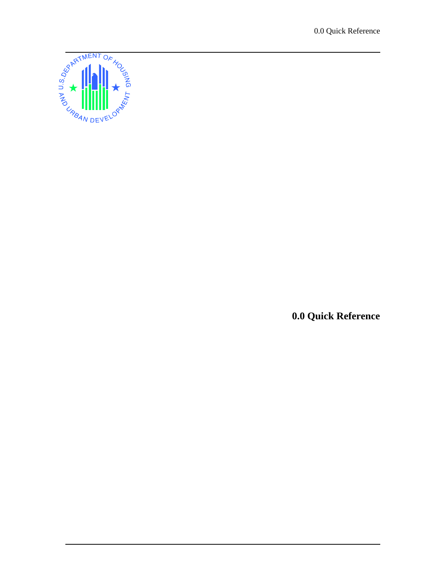0.0 Quick Reference



**0.0 Quick Reference**

ֺ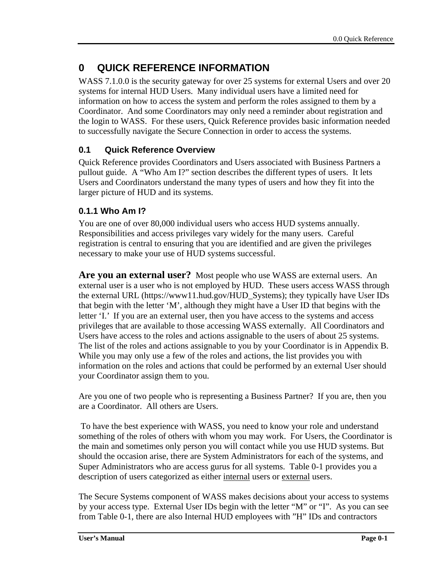# **0 QUICK REFERENCE INFORMATION**

WASS 7.1.0.0 is the security gateway for over 25 systems for external Users and over 20 systems for internal HUD Users. Many individual users have a limited need for information on how to access the system and perform the roles assigned to them by a Coordinator. And some Coordinators may only need a reminder about registration and the login to WASS. For these users, Quick Reference provides basic information needed to successfully navigate the Secure Connection in order to access the systems.

# **0.1 Quick Reference Overview**

Quick Reference provides Coordinators and Users associated with Business Partners a pullout guide. A "Who Am I?" section describes the different types of users. It lets Users and Coordinators understand the many types of users and how they fit into the larger picture of HUD and its systems.

# **0.1.1 Who Am I?**

You are one of over 80,000 individual users who access HUD systems annually. Responsibilities and access privileges vary widely for the many users. Careful registration is central to ensuring that you are identified and are given the privileges necessary to make your use of HUD systems successful.

**Are you an external user?** Most people who use WASS are external users. An external user is a user who is not employed by HUD. These users access WASS through the external URL (https://www11.hud.gov/HUD\_Systems); they typically have User IDs that begin with the letter 'M', although they might have a User ID that begins with the letter 'I.' If you are an external user, then you have access to the systems and access privileges that are available to those accessing WASS externally. All Coordinators and Users have access to the roles and actions assignable to the users of about 25 systems. The list of the roles and actions assignable to you by your Coordinator is in Appendix B. While you may only use a few of the roles and actions, the list provides you with information on the roles and actions that could be performed by an external User should your Coordinator assign them to you.

Are you one of two people who is representing a Business Partner? If you are, then you are a Coordinator. All others are Users.

 To have the best experience with WASS, you need to know your role and understand something of the roles of others with whom you may work. For Users, the Coordinator is the main and sometimes only person you will contact while you use HUD systems. But should the occasion arise, there are System Administrators for each of the systems, and Super Administrators who are access gurus for all systems. Table 0-1 provides you a description of users categorized as either internal users or external users.

The Secure Systems component of WASS makes decisions about your access to systems by your access type. External User IDs begin with the letter "M" or "I". As you can see from Table 0-1, there are also Internal HUD employees with "H" IDs and contractors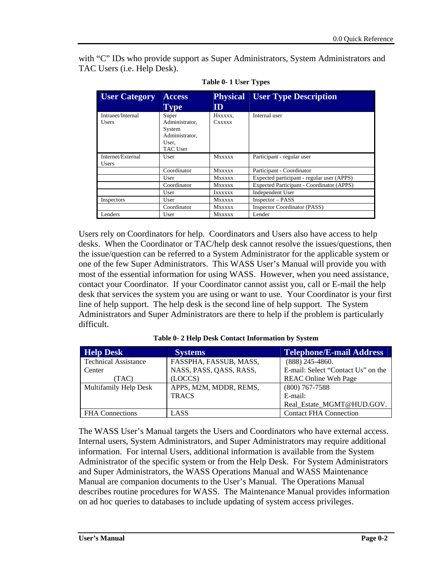with "C" IDs who provide support as Super Administrators, System Administrators and TAC Users (i.e. Help Desk).

| <b>User Category</b>              | <b>Access</b><br>Type                                                    | <b>Physical</b><br>ID | <b>User Type Description</b>               |
|-----------------------------------|--------------------------------------------------------------------------|-----------------------|--------------------------------------------|
| Intranet/Internal<br><b>Users</b> | Super<br>Administrator.<br>System<br>Administrator,<br>User.<br>TAC User | Hxxxxx.<br>Cxxxxx     | Internal user                              |
| Internet/External<br><b>Users</b> | User                                                                     | <b>Mxxxxx</b>         | Participant - regular user                 |
|                                   | Coordinator                                                              | <b>MXXXXX</b>         | Participant - Coordinator                  |
|                                   | User                                                                     | <b>Mxxxxx</b>         | Expected participant - regular user (APPS) |
|                                   | Coordinator                                                              | <b>MXXXXX</b>         | Expected Participant - Coordinator (APPS)  |
|                                   | User                                                                     | IXXXXXX               | Independent User                           |
| Inspectors                        | User                                                                     | <b>Mxxxxx</b>         | $Inspector - PASS$                         |
|                                   | Coordinator                                                              | <b>Mxxxxx</b>         | <b>Inspector Coordinator (PASS)</b>        |
| Lenders                           | User                                                                     | <b>Mxxxxx</b>         | Lender                                     |

**Table 0- 1 User Types** 

Users rely on Coordinators for help. Coordinators and Users also have access to help desks. When the Coordinator or TAC/help desk cannot resolve the issues/questions, then the issue/question can be referred to a System Administrator for the applicable system or one of the few Super Administrators. This WASS User's Manual will provide you with most of the essential information for using WASS. However, when you need assistance, contact your Coordinator. If your Coordinator cannot assist you, call or E-mail the help desk that services the system you are using or want to use. Your Coordinator is your first line of help support. The help desk is the second line of help support. The System Administrators and Super Administrators are there to help if the problem is particularly difficult.

| <b>Help Desk</b>            | <b>Systems</b>          | <b>Telephone/E-mail Address</b>    |
|-----------------------------|-------------------------|------------------------------------|
| <b>Technical Assistance</b> | FASSPHA, FASSUB, MASS,  | $(888)$ 245-4860.                  |
| Center                      | NASS, PASS, QASS, RASS, | E-mail: Select "Contact Us" on the |
| (TAC)                       | (LOCCS)                 | <b>REAC Online Web Page</b>        |
| Multifamily Help Desk       | APPS, M2M, MDDR, REMS,  | $(800)$ 767-7588                   |
|                             | <b>TRACS</b>            | E-mail:                            |
|                             |                         | Real_Estate_MGMT@HUD.GOV.          |
| <b>FHA</b> Connections      | LASS                    | <b>Contact FHA Connection</b>      |

**Table 0- 2 Help Desk Contact Information by System** 

The WASS User's Manual targets the Users and Coordinators who have external access. Internal users, System Administrators, and Super Administrators may require additional information. For internal Users, additional information is available from the System Administrator of the specific system or from the Help Desk. For System Administrators and Super Administrators, the WASS Operations Manual and WASS Maintenance Manual are companion documents to the User's Manual. The Operations Manual describes routine procedures for WASS. The Maintenance Manual provides information on ad hoc queries to databases to include updating of system access privileges.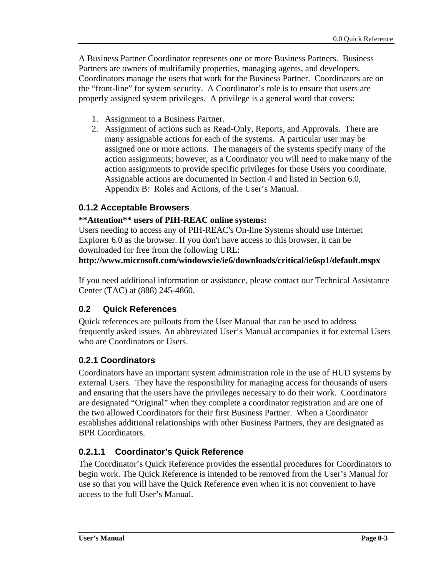A Business Partner Coordinator represents one or more Business Partners. Business Partners are owners of multifamily properties, managing agents, and developers. Coordinators manage the users that work for the Business Partner. Coordinators are on the "front-line" for system security. A Coordinator's role is to ensure that users are properly assigned system privileges. A privilege is a general word that covers:

- 1. Assignment to a Business Partner.
- 2. Assignment of actions such as Read-Only, Reports, and Approvals. There are many assignable actions for each of the systems. A particular user may be assigned one or more actions. The managers of the systems specify many of the action assignments; however, as a Coordinator you will need to make many of the action assignments to provide specific privileges for those Users you coordinate. Assignable actions are documented in Section 4 and listed in Section 6.0, Appendix B: Roles and Actions, of the User's Manual.

## **0.1.2 Acceptable Browsers**

## **\*\*Attention\*\* users of PIH-REAC online systems:**

Users needing to access any of PIH-REAC's On-line Systems should use Internet Explorer 6.0 as the browser. If you don't have access to this browser, it can be downloaded for free from the following URL:

### **http://www.microsoft.com/windows/ie/ie6/downloads/critical/ie6sp1/default.mspx**

If you need additional information or assistance, please contact our Technical Assistance Center (TAC) at (888) 245-4860.

## **0.2 Quick References**

Quick references are pullouts from the User Manual that can be used to address frequently asked issues. An abbreviated User's Manual accompanies it for external Users who are Coordinators or Users.

## **0.2.1 Coordinators**

Coordinators have an important system administration role in the use of HUD systems by external Users. They have the responsibility for managing access for thousands of users and ensuring that the users have the privileges necessary to do their work. Coordinators are designated "Original" when they complete a coordinator registration and are one of the two allowed Coordinators for their first Business Partner. When a Coordinator establishes additional relationships with other Business Partners, they are designated as BPR Coordinators.

# **0.2.1.1 Coordinator's Quick Reference**

The Coordinator's Quick Reference provides the essential procedures for Coordinators to begin work. The Quick Reference is intended to be removed from the User's Manual for use so that you will have the Quick Reference even when it is not convenient to have access to the full User's Manual.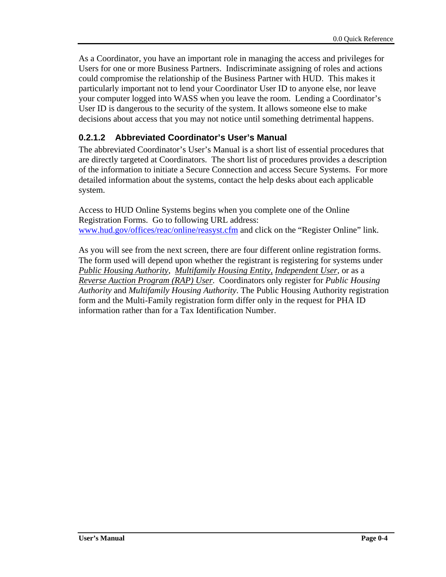As a Coordinator, you have an important role in managing the access and privileges for Users for one or more Business Partners. Indiscriminate assigning of roles and actions could compromise the relationship of the Business Partner with HUD. This makes it particularly important not to lend your Coordinator User ID to anyone else, nor leave your computer logged into WASS when you leave the room. Lending a Coordinator's User ID is dangerous to the security of the system. It allows someone else to make decisions about access that you may not notice until something detrimental happens.

# **0.2.1.2 Abbreviated Coordinator's User's Manual**

The abbreviated Coordinator's User's Manual is a short list of essential procedures that are directly targeted at Coordinators. The short list of procedures provides a description of the information to initiate a Secure Connection and access Secure Systems. For more detailed information about the systems, contact the help desks about each applicable system.

Access to HUD Online Systems begins when you complete one of the Online Registration Forms. Go to following URL address: www.hud.gov/offices/reac/online/reasyst.cfm and click on the "Register Online" link.

As you will see from the next screen, there are four different online registration forms. The form used will depend upon whether the registrant is registering for systems under *Public Housing Authority*, *Multifamily Housing Entity, Independent User,* or as a *Reverse Auction Program (RAP) User*. Coordinators only register for *Public Housing Authority* and *Multifamily Housing Authority*. The Public Housing Authority registration form and the Multi-Family registration form differ only in the request for PHA ID information rather than for a Tax Identification Number.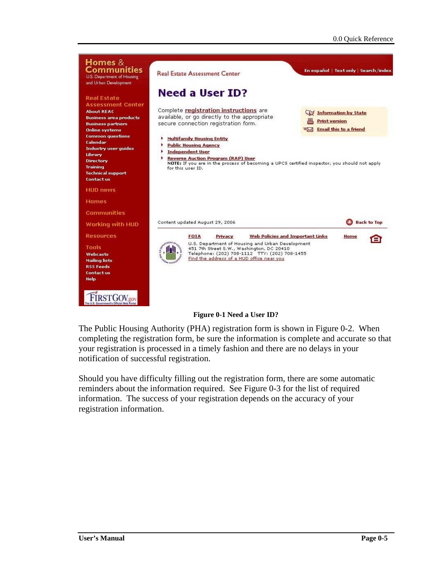

### **Figure 0-1 Need a User ID?**

The Public Housing Authority (PHA) registration form is shown in Figure 0-2. When completing the registration form, be sure the information is complete and accurate so that your registration is processed in a timely fashion and there are no delays in your notification of successful registration.

Should you have difficulty filling out the registration form, there are some automatic reminders about the information required. See Figure 0-3 for the list of required information. The success of your registration depends on the accuracy of your registration information.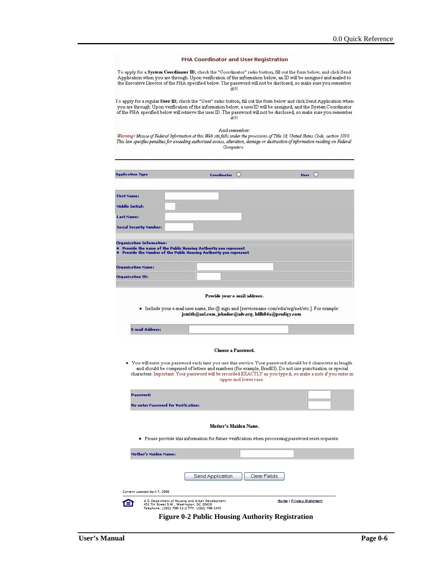|                                                      | PHA Coordinator and User Registration                                                                                                                                                     |                                                                                                                                                                                                                                                                                                                                                                       |
|------------------------------------------------------|-------------------------------------------------------------------------------------------------------------------------------------------------------------------------------------------|-----------------------------------------------------------------------------------------------------------------------------------------------------------------------------------------------------------------------------------------------------------------------------------------------------------------------------------------------------------------------|
|                                                      | it!!!                                                                                                                                                                                     | To apply for a <b>System Coordinator ID</b> , check the "Coordinator" radio button, fill out the form below, and click Send<br>Application when you are through. Upon verification of the information below, an ID will be assigned and mailed to<br>the Executive Director of the PHA specified below. The password will not be disclosed, so make sure you remember |
|                                                      | itH                                                                                                                                                                                       | To apply for a regular User ID, check the "User" radio button, fill out the form below and click Send Application when<br>you are through. Upon verification of the information below, a user ID will be assigned, and the System Coordinator<br>of the PHA specified below will retrieve the user ID. The password will not be disclosed, so make sure you remember  |
|                                                      | And remember:<br>Computers.                                                                                                                                                               | Warning! Misuse of Federal Information at this Web site falls under the provisions of Title 18, United States Code, section 1030.<br>This law specifies penalties for exceeding authorized access, alteration, damage or destruction of information residing on Federal                                                                                               |
| <b>Application Type</b>                              | Coordinator O                                                                                                                                                                             | User $\bigcirc$                                                                                                                                                                                                                                                                                                                                                       |
|                                                      |                                                                                                                                                                                           |                                                                                                                                                                                                                                                                                                                                                                       |
| <b>First Name:</b><br><b>Middle Initial:</b>         |                                                                                                                                                                                           |                                                                                                                                                                                                                                                                                                                                                                       |
| Last Name:                                           |                                                                                                                                                                                           |                                                                                                                                                                                                                                                                                                                                                                       |
| <b>Social Security Number:</b>                       |                                                                                                                                                                                           |                                                                                                                                                                                                                                                                                                                                                                       |
|                                                      |                                                                                                                                                                                           |                                                                                                                                                                                                                                                                                                                                                                       |
| <b>Organization Name:</b><br><b>Organization ID:</b> |                                                                                                                                                                                           |                                                                                                                                                                                                                                                                                                                                                                       |
|                                                      | Provide your e-mail address.<br>- Include your e-mail user name, the @ sign and [servicename.com/edu/org/net/etc.]. For example:<br>jsmith@aol.com, johndoe@adv.org, hfdb84a@prodigy.com. |                                                                                                                                                                                                                                                                                                                                                                       |
| <b>E-mail Address:</b>                               |                                                                                                                                                                                           |                                                                                                                                                                                                                                                                                                                                                                       |
|                                                      | Choose a Password.                                                                                                                                                                        |                                                                                                                                                                                                                                                                                                                                                                       |
|                                                      | upper and lower case.                                                                                                                                                                     | and should be comprised of letters and numbers (for example, Brad83). Do not use punctuation or special                                                                                                                                                                                                                                                               |
| Password:                                            |                                                                                                                                                                                           |                                                                                                                                                                                                                                                                                                                                                                       |
| <b>Re-enter Password for Verification:</b>           |                                                                                                                                                                                           |                                                                                                                                                                                                                                                                                                                                                                       |
|                                                      | Mother's Maiden Name.<br>. Please provide this information for future verification when processing password reset requests.                                                               |                                                                                                                                                                                                                                                                                                                                                                       |
| <b>Mother's Maiden Name:</b>                         |                                                                                                                                                                                           | $\bullet$ You will enter your password each time you use this service. Your password should be 6 characters in length<br>characters. Important: Your password will be recorded EXACTLY as you type it, so make a note if you enter in                                                                                                                                 |
|                                                      |                                                                                                                                                                                           |                                                                                                                                                                                                                                                                                                                                                                       |
|                                                      | Send Application<br>Clear Fields                                                                                                                                                          |                                                                                                                                                                                                                                                                                                                                                                       |

**Figure 0-2 Public Housing Authority Registration**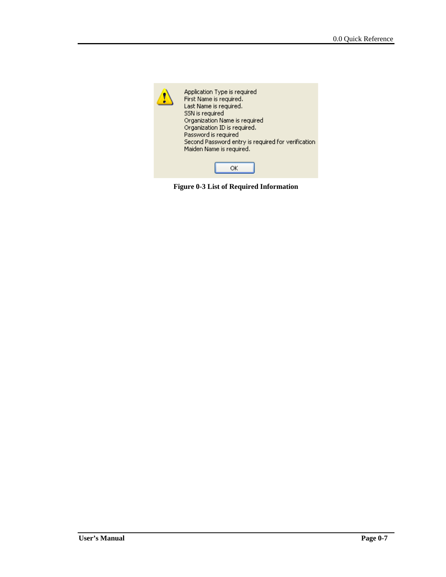

**Figure 0-3 List of Required Information**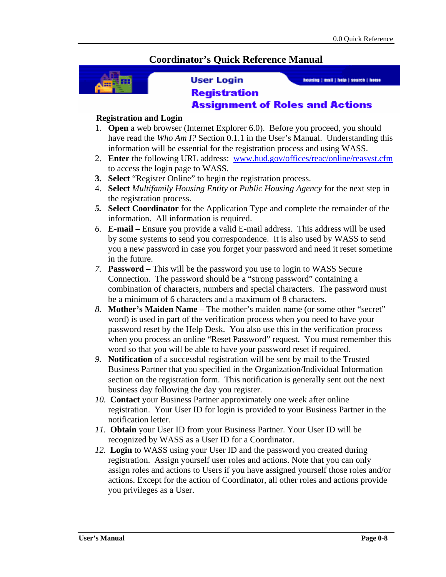# **Coordinator's Quick Reference Manual**



### **User Login**

housing | mail | hole | search | home

### **Registration Assignment of Roles and Actions**

### **Registration and Login**

- 1. **Open** a web browser (Internet Explorer 6.0). Before you proceed, you should have read the *Who Am I?* Section 0.1.1 in the User's Manual. Understanding this information will be essential for the registration process and using WASS.
- 2. **Enter** the following URL address: www.hud.gov/offices/reac/online/reasyst.cfm to access the login page to WASS.
- **3. Select** "Register Online" to begin the registration process.
- 4. **Select** *Multifamily Housing Entity* or *Public Housing Agency* for the next step in the registration process.
- *5.* **Select Coordinator** for the Application Type and complete the remainder of the information. All information is required.
- *6.* **E-mail** Ensure you provide a valid E-mail address. This address will be used by some systems to send you correspondence. It is also used by WASS to send you a new password in case you forget your password and need it reset sometime in the future.
- *7.* **Password** This will be the password you use to login to WASS Secure Connection. The password should be a "strong password" containing a combination of characters, numbers and special characters. The password must be a minimum of 6 characters and a maximum of 8 characters.
- *8.* **Mother's Maiden Name**  The mother's maiden name (or some other "secret" word) is used in part of the verification process when you need to have your password reset by the Help Desk. You also use this in the verification process when you process an online "Reset Password" request. You must remember this word so that you will be able to have your password reset if required.
- *9.* **Notification** of a successful registration will be sent by mail to the Trusted Business Partner that you specified in the Organization/Individual Information section on the registration form. This notification is generally sent out the next business day following the day you register.
- *10.* **Contact** your Business Partner approximately one week after online registration. Your User ID for login is provided to your Business Partner in the notification letter.
- *11.* **Obtain** your User ID from your Business Partner. Your User ID will be recognized by WASS as a User ID for a Coordinator.
- *12.* **Login** to WASS using your User ID and the password you created during registration. Assign yourself user roles and actions. Note that you can only assign roles and actions to Users if you have assigned yourself those roles and/or actions. Except for the action of Coordinator, all other roles and actions provide you privileges as a User.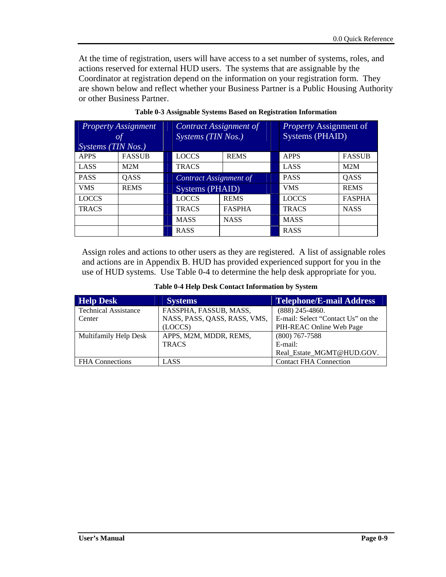At the time of registration, users will have access to a set number of systems, roles, and actions reserved for external HUD users. The systems that are assignable by the Coordinator at registration depend on the information on your registration form. They are shown below and reflect whether your Business Partner is a Public Housing Authority or other Business Partner.

| <i>Systems</i> ( $\overline{T}$ <i>IN Nos.</i> ) | <b>Property Assignment</b><br><b>of</b> | Contract Assignment of<br>Systems (TIN Nos.) |                        |  | Property Assignment of<br>Systems (PHAID) |               |
|--------------------------------------------------|-----------------------------------------|----------------------------------------------|------------------------|--|-------------------------------------------|---------------|
| <b>APPS</b>                                      | <b>FASSUB</b>                           | <b>LOCCS</b>                                 | <b>REMS</b>            |  | <b>APPS</b>                               | <b>FASSUB</b> |
| LASS                                             | M2M                                     | <b>TRACS</b>                                 |                        |  | LASS                                      | M2M           |
| <b>PASS</b>                                      | QASS                                    |                                              | Contract Assignment of |  | <b>PASS</b>                               | QASS          |
| <b>VMS</b>                                       | <b>REMS</b>                             | Systems (PHAID)                              |                        |  | <b>VMS</b>                                | <b>REMS</b>   |
| <b>LOCCS</b>                                     |                                         | <b>LOCCS</b>                                 | <b>REMS</b>            |  | <b>LOCCS</b>                              | <b>FASPHA</b> |
| <b>TRACS</b>                                     |                                         | <b>TRACS</b>                                 | <b>FASPHA</b>          |  | <b>TRACS</b>                              | <b>NASS</b>   |
|                                                  |                                         | <b>MASS</b>                                  | <b>NASS</b>            |  | <b>MASS</b>                               |               |
|                                                  |                                         | <b>RASS</b>                                  |                        |  | <b>RASS</b>                               |               |

**Table 0-3 Assignable Systems Based on Registration Information** 

Assign roles and actions to other users as they are registered. A list of assignable roles and actions are in Appendix B. HUD has provided experienced support for you in the use of HUD systems. Use Table 0-4 to determine the help desk appropriate for you.

| <b>Help Desk</b>            | <b>Systems</b>               | <b>Telephone/E-mail Address</b>    |
|-----------------------------|------------------------------|------------------------------------|
| <b>Technical Assistance</b> | FASSPHA, FASSUB, MASS,       | $(888)$ 245-4860.                  |
| Center                      | NASS, PASS, QASS, RASS, VMS, | E-mail: Select "Contact Us" on the |
|                             | (LOCCS)                      | PIH-REAC Online Web Page           |
| Multifamily Help Desk       | APPS, M2M, MDDR, REMS,       | $(800)$ 767-7588                   |
|                             | <b>TRACS</b>                 | E-mail:                            |
|                             |                              | Real Estate MGMT@HUD.GOV.          |
| <b>FHA</b> Connections      | LASS                         | <b>Contact FHA Connection</b>      |

### **Table 0-4 Help Desk Contact Information by System**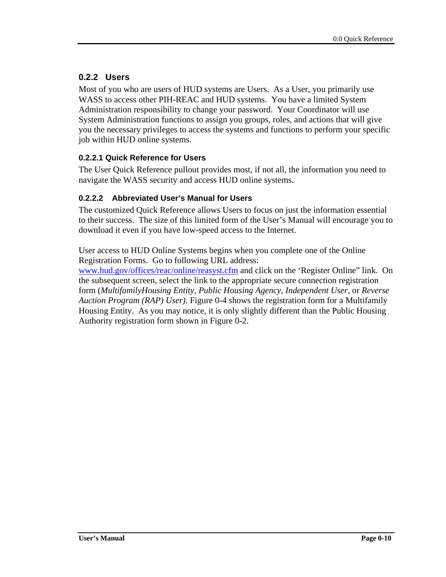# **0.2.2 Users**

Most of you who are users of HUD systems are Users. As a User, you primarily use WASS to access other PIH-REAC and HUD systems. You have a limited System Administration responsibility to change your password. Your Coordinator will use System Administration functions to assign you groups, roles, and actions that will give you the necessary privileges to access the systems and functions to perform your specific job within HUD online systems.

## **0.2.2.1 Quick Reference for Users**

The User Quick Reference pullout provides most, if not all, the information you need to navigate the WASS security and access HUD online systems.

## **0.2.2.2 Abbreviated User's Manual for Users**

The customized Quick Reference allows Users to focus on just the information essential to their success. The size of this limited form of the User's Manual will encourage you to download it even if you have low-speed access to the Internet.

User access to HUD Online Systems begins when you complete one of the Online Registration Forms. Go to following URL address:

www.hud.gov/offices/reac/online/reasyst.cfm and click on the 'Register Online" link. On the subsequent screen, select the link to the appropriate secure connection registration form (*MultifamilyHousing Entity, Public Housing Agency, Independent User,* or *Reverse Auction Program (RAP) User)*. Figure 0-4 shows the registration form for a Multifamily Housing Entity. As you may notice, it is only slightly different than the Public Housing Authority registration form shown in Figure 0-2.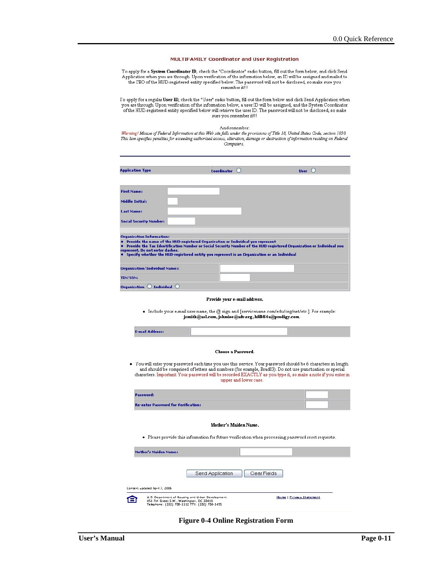#### MULTIFAMILY Coordinator and User Registration

To apply for a System Coordinator ID, check the "Coordinator" radio button, fill out the form below, and click Send Application when you are through. Upon verification of the information below, an ID will be assigned and mailed to<br>the CEO of the HUD-registered entity specified below. The password will not be disclosed, so make sure you<br>

To apply for a regular User ID, check the "User" radio button, fill out the form below and click Send Application when<br>you are through. Upon verification of the information below, a user ID will be assigned, and the Syste sure you remember it!!!

And remember:<br>Warning! Misuse of Federal Information at this Web site falls under the provisions of Title 18, United States Code, section 1030. This law specifies penalties for exceeding authorized access, alteration, damage or destruction of information residing on Federal Computers.

| <b>Application Type</b>               | Coordinator $\bigcirc$                                                                                                                                                                                                                                                                                 | User $\bigcirc$ |
|---------------------------------------|--------------------------------------------------------------------------------------------------------------------------------------------------------------------------------------------------------------------------------------------------------------------------------------------------------|-----------------|
| <b>First Name:</b>                    |                                                                                                                                                                                                                                                                                                        |                 |
| Middle Initial:                       |                                                                                                                                                                                                                                                                                                        |                 |
| Last Name:                            |                                                                                                                                                                                                                                                                                                        |                 |
| <b>Social Security Number:</b>        |                                                                                                                                                                                                                                                                                                        |                 |
| <b>Organization Information:</b>      |                                                                                                                                                                                                                                                                                                        |                 |
| represent. Do not enter dashes.       | Provide the name of the HUD-registered Organization or Individual you represent<br>Provide the Tax Identification Number or Social Security Number of the HUD-registered Organization or Individual you<br>Specify whether the HUD-registered entity you represent is an Organization or an Individual |                 |
| <b>Organization/Individual Name::</b> |                                                                                                                                                                                                                                                                                                        |                 |
|                                       |                                                                                                                                                                                                                                                                                                        |                 |

#### Provide your e-mail address.

- Include your e-mail user name, the @ sign and [servicename.com/edu/org/net/etc.]. For example:<br>jsmith@aol.com,johndoe@adv.org,htilb84a@prodigy.com.

|                                            | Choose a Password.                                                                                                                                                                                                                                                                                                                                                |              |  |
|--------------------------------------------|-------------------------------------------------------------------------------------------------------------------------------------------------------------------------------------------------------------------------------------------------------------------------------------------------------------------------------------------------------------------|--------------|--|
|                                            | . You will enter your password each time you use this service. Your password should be 6 characters in length<br>and should be comprised of letters and numbers (for example, Brad83). Do not use punctuation or special<br>characters. Important: Your password will be recorded EXACTLY as you type it, so make a note if you enter in<br>upper and lower case. |              |  |
| <b>Password:</b>                           |                                                                                                                                                                                                                                                                                                                                                                   |              |  |
| <b>Re-enter Password for Verification:</b> |                                                                                                                                                                                                                                                                                                                                                                   |              |  |
|                                            | Mother's Maiden Name.                                                                                                                                                                                                                                                                                                                                             |              |  |
|                                            | . Please provide this information for future verification when processing password reset requests.                                                                                                                                                                                                                                                                |              |  |
| Mother's Maiden Name:                      |                                                                                                                                                                                                                                                                                                                                                                   |              |  |
|                                            | Send Application                                                                                                                                                                                                                                                                                                                                                  | Clear Fields |  |

**Figure 0-4 Online Registration Form**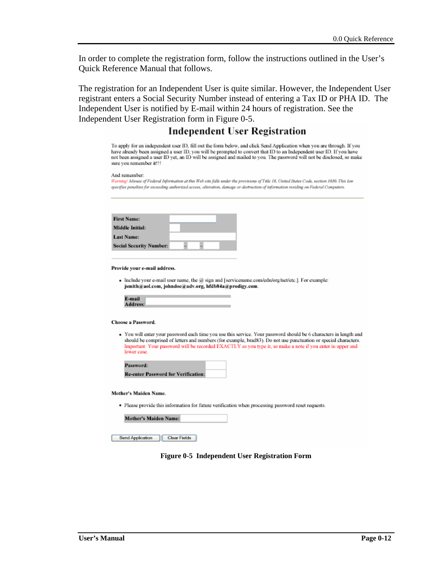In order to complete the registration form, follow the instructions outlined in the User's Quick Reference Manual that follows.

The registration for an Independent User is quite similar. However, the Independent User registrant enters a Social Security Number instead of entering a Tax ID or PHA ID. The Independent User is notified by E-mail within 24 hours of registration. See the Independent User Registration form in Figure 0-5.

### **Independent User Registration**

To apply for an independent user ID, fill out the form below, and click Send Application when you are through. If you have already been assigned a user ID, you will be prompted to convert that ID to an Independent user ID. If you have not been assigned a user ID yet, an ID will be assigned and mailed to you. The password will not be disclosed, so make sure you remember it!!!

And remember:

Warning! Misuse of Federal Information at this Web site falls under the provisions of Title 18, United States Code, section 1030. This law specifies penalties for exceeding authorized access, alteration, danage or destruction of information residing on Federal Computers.

| <b>First Name:</b>             |  |  |
|--------------------------------|--|--|
| <b>Middle Initial:</b>         |  |  |
| <b>Last Name:</b>              |  |  |
| <b>Social Security Number:</b> |  |  |

Provide your e-mail address.

 $\bullet$  Include your e-mail user name, the  $@$  sign and [servicename.com/edu/org/net/etc.]. For example: jsmith@aol.com, johndoe@adv.org, hfdb84a@prodigy.com.

| E-mail   |  |
|----------|--|
| Address: |  |

#### **Choose a Password.**

· You will enter your password each time you use this service. Your password should be 6 characters in length and should be comprised of letters and numbers (for example, brad83). Do not use punctuation or special characters. Important: Your password will be recorded EXACTLY as you type it, so make a note if you enter in upper and lower case.

| Password:                                  |  |
|--------------------------------------------|--|
| <b>Re-enter Password for Verification:</b> |  |

Mother's Maiden Name.

· Please provide this information for future verification when processing password reset requests.

| <b>Mother's Maiden Name:</b> |
|------------------------------|
|------------------------------|

Send Application | Clear Fields

#### **Figure 0-5 Independent User Registration Form**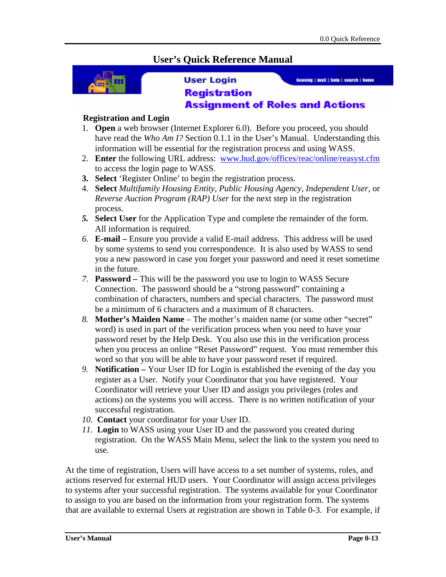# **User's Quick Reference Manual**



### **User Login**

housing | mail | hole | search | home

## **Registration Assignment of Roles and Actions**

### **Registration and Login**

- 1. **Open** a web browser (Internet Explorer 6.0). Before you proceed, you should have read the *Who Am I?* Section 0.1.1 in the User's Manual. Understanding this information will be essential for the registration process and using WASS.
- 2. **Enter** the following URL address: www.hud.gov/offices/reac/online/reasyst.cfm to access the login page to WASS.
- **3. Select** 'Register Online' to begin the registration process.
- 4. **Select** *Multifamily Housing Entity, Public Housing Agency, Independent User,* or *Reverse Auction Program (RAP) User* for the next step in the registration process.
- *5.* **Select User** for the Application Type and complete the remainder of the form. All information is required.
- *6.* **E-mail** Ensure you provide a valid E-mail address. This address will be used by some systems to send you correspondence. It is also used by WASS to send you a new password in case you forget your password and need it reset sometime in the future.
- *7.* **Password** This will be the password you use to login to WASS Secure Connection. The password should be a "strong password" containing a combination of characters, numbers and special characters. The password must be a minimum of 6 characters and a maximum of 8 characters.
- *8.* **Mother's Maiden Name**  The mother's maiden name (or some other "secret" word) is used in part of the verification process when you need to have your password reset by the Help Desk. You also use this in the verification process when you process an online "Reset Password" request. You must remember this word so that you will be able to have your password reset if required.
- *9.* **Notification** Your User ID for Login is established the evening of the day you register as a User. Notify your Coordinator that you have registered. Your Coordinator will retrieve your User ID and assign you privileges (roles and actions) on the systems you will access. There is no written notification of your successful registration.
- *10.* **Contact** your coordinator for your User ID.
- *11.* **Login** to WASS using your User ID and the password you created during registration.On the WASS Main Menu, select the link to the system you need to use.

At the time of registration, Users will have access to a set number of systems, roles, and actions reserved for external HUD users. Your Coordinator will assign access privileges to systems after your successful registration. The systems available for your Coordinator to assign to you are based on the information from your registration form. The systems that are available to external Users at registration are shown in Table 0-3. For example, if